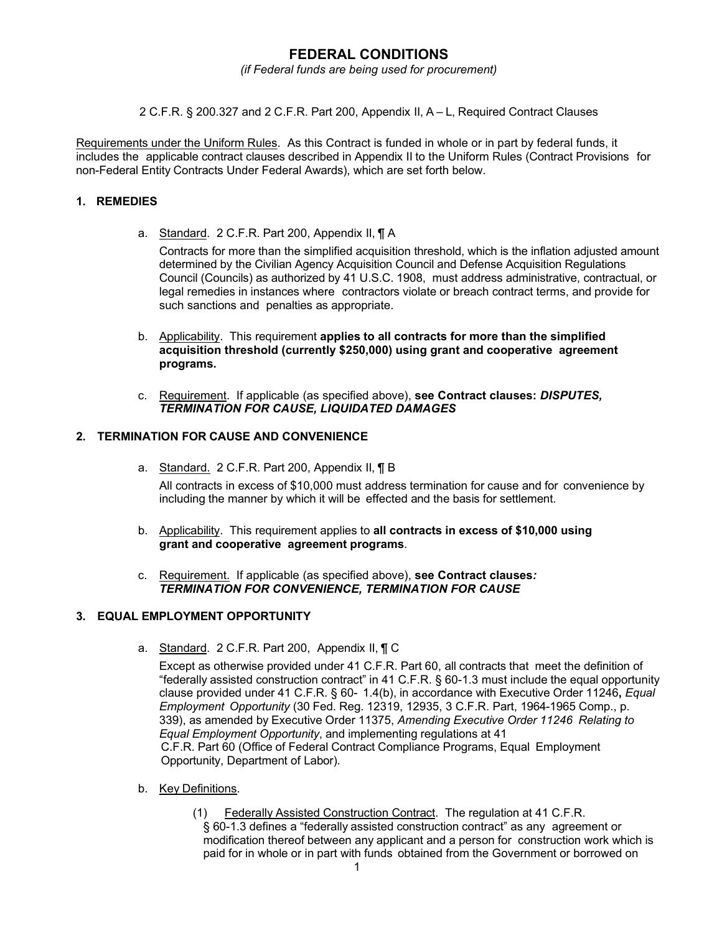*(if Federal funds are being used for procurement)*

2 C.F.R. § 200.327 and 2 C.F.R. Part 200, Appendix II, A – L, Required Contract Clauses

Requirements under the Uniform Rules. As this Contract is funded in whole or in part by federal funds, it includes the applicable contract clauses described in Appendix II to the Uniform Rules (Contract Provisions for non-Federal Entity Contracts Under Federal Awards), which are set forth below.

### **1. REMEDIES**

a. Standard. 2 C.F.R. Part 200, Appendix II, ¶ A

Contracts for more than the simplified acquisition threshold, which is the inflation adjusted amount determined by the Civilian Agency Acquisition Council and Defense Acquisition Regulations Council (Councils) as authorized by 41 U.S.C. 1908, must address administrative, contractual, or legal remedies in instances where contractors violate or breach contract terms, and provide for such sanctions and penalties as appropriate.

- b. Applicability. This requirement **applies to all contracts for more than the simplified acquisition threshold (currently \$250,000) using grant and cooperative agreement programs.**
- c. Requirement. If applicable (as specified above), **see Contract clauses:** *DISPUTES, TERMINATION FOR CAUSE, LIQUIDATED DAMAGES*

### **2. TERMINATION FOR CAUSE AND CONVENIENCE**

- a. Standard. 2 C.F.R. Part 200, Appendix II, ¶ B All contracts in excess of \$10,000 must address termination for cause and for convenience by including the manner by which it will be effected and the basis for settlement.
- b. Applicability. This requirement applies to **all contracts in excess of \$10,000 using grant and cooperative agreement programs**.
- c. Requirement. If applicable (as specified above), **see Contract clauses***:* *TERMINATION FOR CONVENIENCE, TERMINATION FOR CAUSE*

### **3. EQUAL EMPLOYMENT OPPORTUNITY**

a. Standard. 2 C.F.R. Part 200, Appendix II, ¶ C

Except as otherwise provided under 41 C.F.R. Part 60, all contracts that meet the definition of "federally assisted construction contract" in 41 C.F.R. § 60-1.3 must include the equal opportunity clause provided under 41 C.F.R. § 60- 1.4(b), in accordance with Executive Order 11246**,** *Equal Employment Opportunity* (30 Fed. Reg. 12319, 12935, 3 C.F.R. Part, 1964-1965 Comp., p. 339), as amended by Executive Order 11375, *Amending Executive Order 11246 Relating to Equal Employment Opportunity*, and implementing regulations at 41 C.F.R. Part 60 (Office of Federal Contract Compliance Programs, Equal Employment Opportunity, Department of Labor).

- b. Key Definitions.
	- (1) Federally Assisted Construction Contract. The regulation at 41 C.F.R. § 60-1.3 defines a "federally assisted construction contract" as any agreement or modification thereof between any applicant and a person for construction work which is paid for in whole or in part with funds obtained from the Government or borrowed on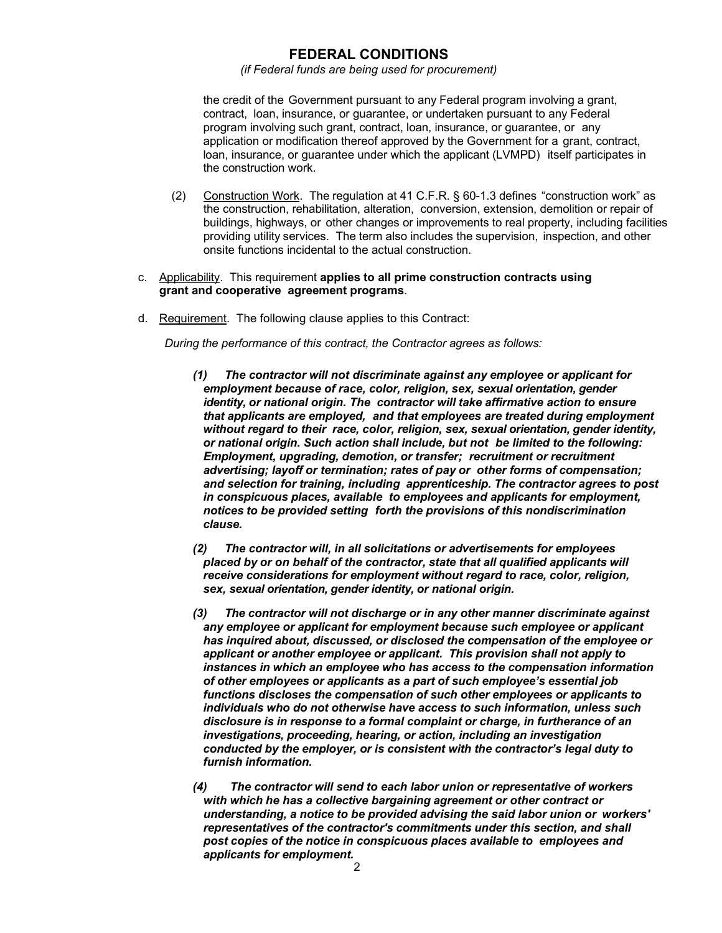*(if Federal funds are being used for procurement)*

the credit of the Government pursuant to any Federal program involving a grant, contract, loan, insurance, or guarantee, or undertaken pursuant to any Federal program involving such grant, contract, loan, insurance, or guarantee, or any application or modification thereof approved by the Government for a grant, contract, loan, insurance, or guarantee under which the applicant (LVMPD) itself participates in the construction work.

- (2) Construction Work. The regulation at 41 C.F.R. § 60-1.3 defines "construction work" as the construction, rehabilitation, alteration, conversion, extension, demolition or repair of buildings, highways, or other changes or improvements to real property, including facilities providing utility services. The term also includes the supervision, inspection, and other onsite functions incidental to the actual construction.
- c. Applicability. This requirement **applies to all prime construction contracts using grant and cooperative agreement programs**.
- d. Requirement. The following clause applies to this Contract:

*During the performance of this contract, the Contractor agrees as follows:*

- *(1) The contractor will not discriminate against any employee or applicant for employment because of race, color, religion, sex, sexual orientation, gender identity, or national origin. The contractor will take affirmative action to ensure that applicants are employed, and that employees are treated during employment without regard to their race, color, religion, sex, sexual orientation, gender identity, or national origin. Such action shall include, but not be limited to the following: Employment, upgrading, demotion, or transfer; recruitment or recruitment advertising; layoff or termination; rates of pay or other forms of compensation; and selection for training, including apprenticeship. The contractor agrees to post in conspicuous places, available to employees and applicants for employment, notices to be provided setting forth the provisions of this nondiscrimination clause.*
- *(2) The contractor will, in all solicitations or advertisements for employees placed by or on behalf of the contractor, state that all qualified applicants will receive considerations for employment without regard to race, color, religion, sex, sexual orientation, gender identity, or national origin.*
- *(3) The contractor will not discharge or in any other manner discriminate against any employee or applicant for employment because such employee or applicant has inquired about, discussed, or disclosed the compensation of the employee or applicant or another employee or applicant. This provision shall not apply to instances in which an employee who has access to the compensation information of other employees or applicants as a part of such employee's essential job functions discloses the compensation of such other employees or applicants to individuals who do not otherwise have access to such information, unless such disclosure is in response to a formal complaint or charge, in furtherance of an investigations, proceeding, hearing, or action, including an investigation conducted by the employer, or is consistent with the contractor's legal duty to furnish information.*
- *(4) The contractor will send to each labor union or representative of workers with which he has a collective bargaining agreement or other contract or understanding, a notice to be provided advising the said labor union or workers' representatives of the contractor's commitments under this section, and shall post copies of the notice in conspicuous places available to employees and applicants for employment.*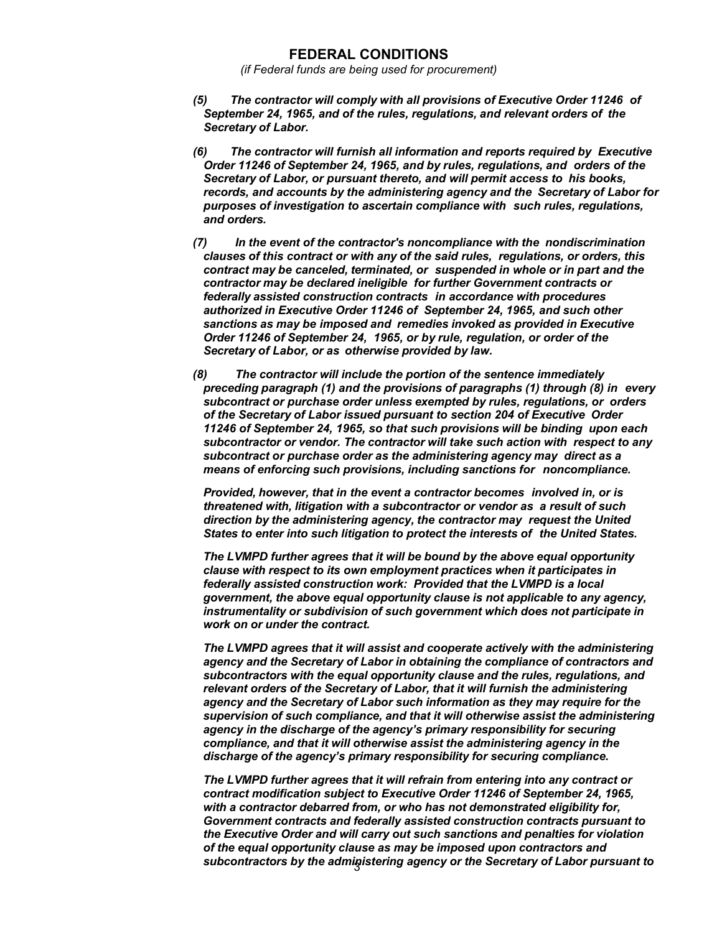*(if Federal funds are being used for procurement)*

- *(5) The contractor will comply with all provisions of Executive Order 11246 of September 24, 1965, and of the rules, regulations, and relevant orders of the Secretary of Labor.*
- *(6) The contractor will furnish all information and reports required by Executive Order 11246 of September 24, 1965, and by rules, regulations, and orders of the Secretary of Labor, or pursuant thereto, and will permit access to his books, records, and accounts by the administering agency and the Secretary of Labor for purposes of investigation to ascertain compliance with such rules, regulations, and orders.*
- *(7) In the event of the contractor's noncompliance with the nondiscrimination clauses of this contract or with any of the said rules, regulations, or orders, this contract may be canceled, terminated, or suspended in whole or in part and the contractor may be declared ineligible for further Government contracts or federally assisted construction contracts in accordance with procedures authorized in Executive Order 11246 of September 24, 1965, and such other sanctions as may be imposed and remedies invoked as provided in Executive Order 11246 of September 24, 1965, or by rule, regulation, or order of the Secretary of Labor, or as otherwise provided by law.*
- *(8) The contractor will include the portion of the sentence immediately preceding paragraph (1) and the provisions of paragraphs (1) through (8) in every subcontract or purchase order unless exempted by rules, regulations, or orders of the Secretary of Labor issued pursuant to section 204 of Executive Order 11246 of September 24, 1965, so that such provisions will be binding upon each subcontractor or vendor. The contractor will take such action with respect to any subcontract or purchase order as the administering agency may direct as a means of enforcing such provisions, including sanctions for noncompliance.*

*Provided, however, that in the event a contractor becomes involved in, or is threatened with, litigation with a subcontractor or vendor as a result of such direction by the administering agency, the contractor may request the United States to enter into such litigation to protect the interests of the United States.*

*The LVMPD further agrees that it will be bound by the above equal opportunity clause with respect to its own employment practices when it participates in federally assisted construction work: Provided that the LVMPD is a local government, the above equal opportunity clause is not applicable to any agency, instrumentality or subdivision of such government which does not participate in work on or under the contract.*

*The LVMPD agrees that it will assist and cooperate actively with the administering agency and the Secretary of Labor in obtaining the compliance of contractors and subcontractors with the equal opportunity clause and the rules, regulations, and relevant orders of the Secretary of Labor, that it will furnish the administering agency and the Secretary of Labor such information as they may require for the supervision of such compliance, and that it will otherwise assist the administering agency in the discharge of the agency's primary responsibility for securing compliance, and that it will otherwise assist the administering agency in the discharge of the agency's primary responsibility for securing compliance.*

subcontractors by the admigistering agency or the Secretary of Labor pursuant to *The LVMPD further agrees that it will refrain from entering into any contract or contract modification subject to Executive Order 11246 of September 24, 1965, with a contractor debarred from, or who has not demonstrated eligibility for, Government contracts and federally assisted construction contracts pursuant to the Executive Order and will carry out such sanctions and penalties for violation of the equal opportunity clause as may be imposed upon contractors and*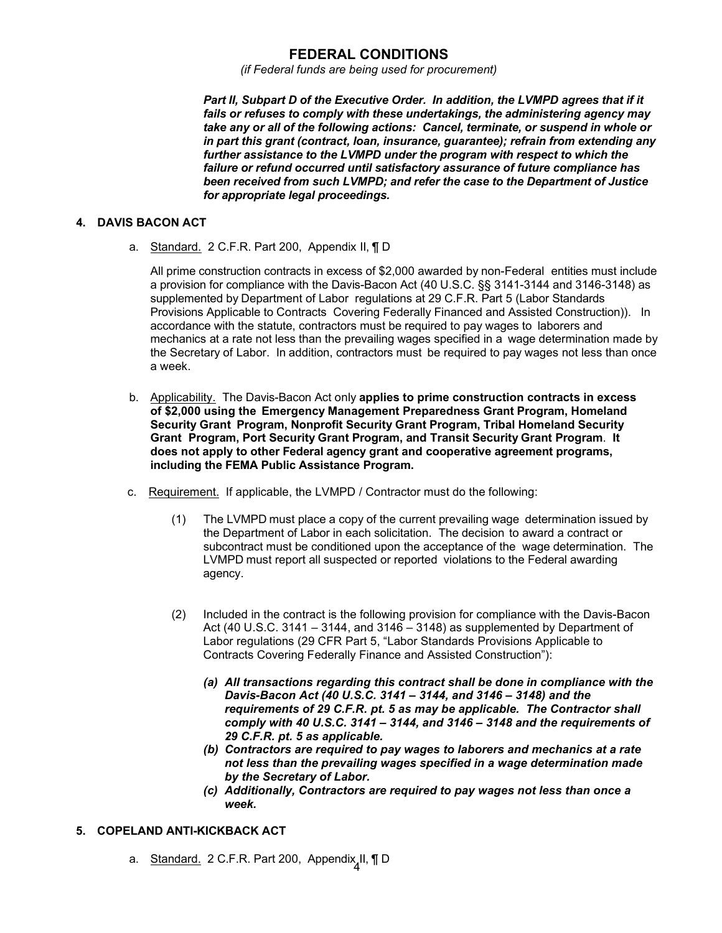*(if Federal funds are being used for procurement)*

*Part II, Subpart D of the Executive Order. In addition, the LVMPD agrees that if it fails or refuses to comply with these undertakings, the administering agency may take any or all of the following actions: Cancel, terminate, or suspend in whole or in part this grant (contract, loan, insurance, guarantee); refrain from extending any further assistance to the LVMPD under the program with respect to which the failure or refund occurred until satisfactory assurance of future compliance has been received from such LVMPD; and refer the case to the Department of Justice for appropriate legal proceedings.*

### **4. DAVIS BACON ACT**

a. Standard. 2 C.F.R. Part 200, Appendix II, ¶ D

All prime construction contracts in excess of \$2,000 awarded by non-Federal entities must include a provision for compliance with the Davis-Bacon Act (40 U.S.C. §§ 3141-3144 and 3146-3148) as supplemented by Department of Labor regulations at 29 C.F.R. Part 5 (Labor Standards Provisions Applicable to Contracts Covering Federally Financed and Assisted Construction)). In accordance with the statute, contractors must be required to pay wages to laborers and mechanics at a rate not less than the prevailing wages specified in a wage determination made by the Secretary of Labor. In addition, contractors must be required to pay wages not less than once a week.

- b. Applicability. The Davis-Bacon Act only **applies to prime construction contracts in excess of \$2,000 using the Emergency Management Preparedness Grant Program, Homeland Security Grant Program, Nonprofit Security Grant Program, Tribal Homeland Security Grant Program, Port Security Grant Program, and Transit Security Grant Program**. **It does not apply to other Federal agency grant and cooperative agreement programs, including the FEMA Public Assistance Program.**
- c. Requirement. If applicable, the LVMPD / Contractor must do the following:
	- (1) The LVMPD must place a copy of the current prevailing wage determination issued by the Department of Labor in each solicitation. The decision to award a contract or subcontract must be conditioned upon the acceptance of the wage determination. The LVMPD must report all suspected or reported violations to the Federal awarding agency.
	- (2) Included in the contract is the following provision for compliance with the Davis-Bacon Act (40 U.S.C. 3141 – 3144, and 3146 – 3148) as supplemented by Department of Labor regulations (29 CFR Part 5, "Labor Standards Provisions Applicable to Contracts Covering Federally Finance and Assisted Construction"):
		- *(a) All transactions regarding this contract shall be done in compliance with the Davis-Bacon Act (40 U.S.C. 3141 – 3144, and 3146 – 3148) and the requirements of 29 C.F.R. pt. 5 as may be applicable. The Contractor shall comply with 40 U.S.C. 3141 – 3144, and 3146 – 3148 and the requirements of 29 C.F.R. pt. 5 as applicable.*
		- *(b) Contractors are required to pay wages to laborers and mechanics at a rate not less than the prevailing wages specified in a wage determination made by the Secretary of Labor.*
		- *(c) Additionally, Contractors are required to pay wages not less than once a week.*

## **5. COPELAND ANTI-KICKBACK ACT**

a. <u>Standard.</u> 2 C.F.R. Part 200, Appendix<sub>4</sub>II, ¶ D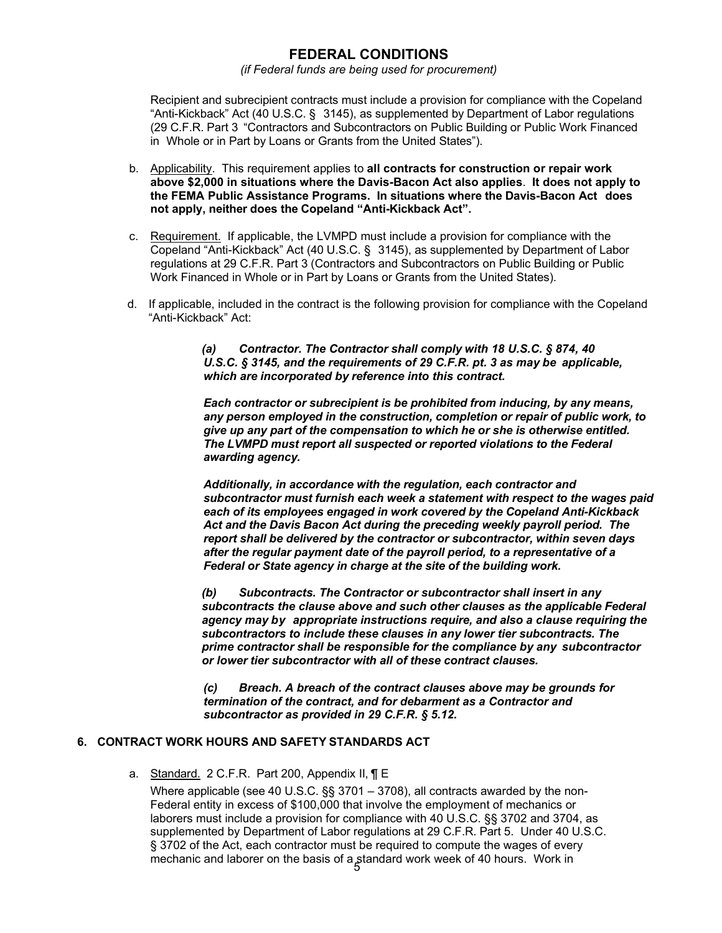*(if Federal funds are being used for procurement)*

Recipient and subrecipient contracts must include a provision for compliance with the Copeland "Anti-Kickback" Act (40 U.S.C. § 3145), as supplemented by Department of Labor regulations (29 C.F.R. Part 3 "Contractors and Subcontractors on Public Building or Public Work Financed in Whole or in Part by Loans or Grants from the United States").

- b. Applicability. This requirement applies to **all contracts for construction or repair work above \$2,000 in situations where the Davis-Bacon Act also applies**. **It does not apply to the FEMA Public Assistance Programs. In situations where the Davis-Bacon Act does not apply, neither does the Copeland "Anti-Kickback Act".**
- c. Requirement. If applicable, the LVMPD must include a provision for compliance with the Copeland "Anti-Kickback" Act (40 U.S.C. § 3145), as supplemented by Department of Labor regulations at 29 C.F.R. Part 3 (Contractors and Subcontractors on Public Building or Public Work Financed in Whole or in Part by Loans or Grants from the United States).
- d. If applicable, included in the contract is the following provision for compliance with the Copeland "Anti-Kickback" Act:

*(a) Contractor. The Contractor shall comply with 18 U.S.C. § 874, 40 U.S.C. § 3145, and the requirements of 29 C.F.R. pt. 3 as may be applicable, which are incorporated by reference into this contract.*

*Each contractor or subrecipient is be prohibited from inducing, by any means, any person employed in the construction, completion or repair of public work, to give up any part of the compensation to which he or she is otherwise entitled. The LVMPD must report all suspected or reported violations to the Federal awarding agency.*

*Additionally, in accordance with the regulation, each contractor and subcontractor must furnish each week a statement with respect to the wages paid each of its employees engaged in work covered by the Copeland Anti-Kickback Act and the Davis Bacon Act during the preceding weekly payroll period. The report shall be delivered by the contractor or subcontractor, within seven days after the regular payment date of the payroll period, to a representative of a Federal or State agency in charge at the site of the building work.*

*(b) Subcontracts. The Contractor or subcontractor shall insert in any subcontracts the clause above and such other clauses as the applicable Federal agency may by appropriate instructions require, and also a clause requiring the subcontractors to include these clauses in any lower tier subcontracts. The prime contractor shall be responsible for the compliance by any subcontractor or lower tier subcontractor with all of these contract clauses.*

*(c) Breach. A breach of the contract clauses above may be grounds for termination of the contract, and for debarment as a Contractor and subcontractor as provided in 29 C.F.R. § 5.12.*

## **6. CONTRACT WORK HOURS AND SAFETY STANDARDS ACT**

a. Standard. 2 C.F.R. Part 200, Appendix II, ¶ E

mechanic and laborer on the basis of a standard work week of 40 hours. Work in  $\frac{5}{9}$ Where applicable (see 40 U.S.C. §§ 3701 – 3708), all contracts awarded by the non-Federal entity in excess of \$100,000 that involve the employment of mechanics or laborers must include a provision for compliance with 40 U.S.C. §§ 3702 and 3704, as supplemented by Department of Labor regulations at 29 C.F.R. Part 5. Under 40 U.S.C. § 3702 of the Act, each contractor must be required to compute the wages of every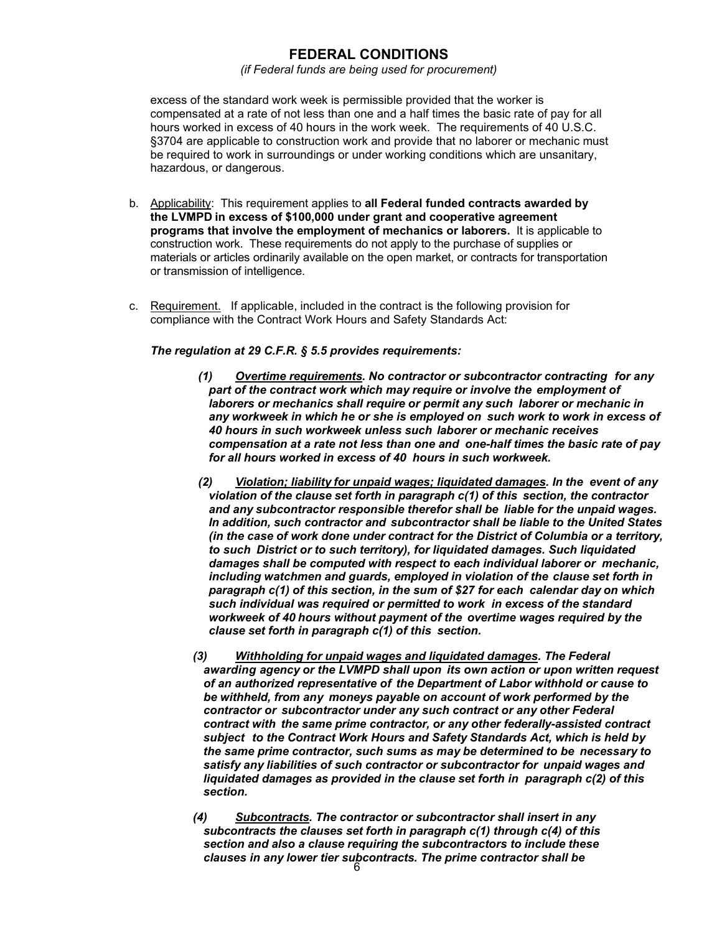*(if Federal funds are being used for procurement)*

excess of the standard work week is permissible provided that the worker is compensated at a rate of not less than one and a half times the basic rate of pay for all hours worked in excess of 40 hours in the work week. The requirements of 40 U.S.C. §3704 are applicable to construction work and provide that no laborer or mechanic must be required to work in surroundings or under working conditions which are unsanitary, hazardous, or dangerous.

- b. Applicability: This requirement applies to **all Federal funded contracts awarded by the LVMPD in excess of \$100,000 under grant and cooperative agreement programs that involve the employment of mechanics or laborers.** It is applicable to construction work. These requirements do not apply to the purchase of supplies or materials or articles ordinarily available on the open market, or contracts for transportation or transmission of intelligence.
- c. Requirement. If applicable, included in the contract is the following provision for compliance with the Contract Work Hours and Safety Standards Act:

### *The regulation at 29 C.F.R. § 5.5 provides requirements:*

- *(1) Overtime requirements. No contractor or subcontractor contracting for any part of the contract work which may require or involve the employment of laborers or mechanics shall require or permit any such laborer or mechanic in any workweek in which he or she is employed on such work to work in excess of 40 hours in such workweek unless such laborer or mechanic receives compensation at a rate not less than one and one-half times the basic rate of pay for all hours worked in excess of 40 hours in such workweek.*
- *(2) Violation; liability for unpaid wages; liquidated damages. In the event of any violation of the clause set forth in paragraph c(1) of this section, the contractor and any subcontractor responsible therefor shall be liable for the unpaid wages. In addition, such contractor and subcontractor shall be liable to the United States (in the case of work done under contract for the District of Columbia or a territory, to such District or to such territory), for liquidated damages. Such liquidated damages shall be computed with respect to each individual laborer or mechanic, including watchmen and guards, employed in violation of the clause set forth in paragraph c(1) of this section, in the sum of \$27 for each calendar day on which such individual was required or permitted to work in excess of the standard workweek of 40 hours without payment of the overtime wages required by the clause set forth in paragraph c(1) of this section.*
- *(3) Withholding for unpaid wages and liquidated damages. The Federal awarding agency or the LVMPD shall upon its own action or upon written request of an authorized representative of the Department of Labor withhold or cause to be withheld, from any moneys payable on account of work performed by the contractor or subcontractor under any such contract or any other Federal contract with the same prime contractor, or any other federally-assisted contract subject to the Contract Work Hours and Safety Standards Act, which is held by the same prime contractor, such sums as may be determined to be necessary to satisfy any liabilities of such contractor or subcontractor for unpaid wages and liquidated damages as provided in the clause set forth in paragraph c(2) of this section.*
- 6 *clauses in any lower tier subcontracts. The prime contractor shall be(4) Subcontracts. The contractor or subcontractor shall insert in any subcontracts the clauses set forth in paragraph c(1) through c(4) of this section and also a clause requiring the subcontractors to include these*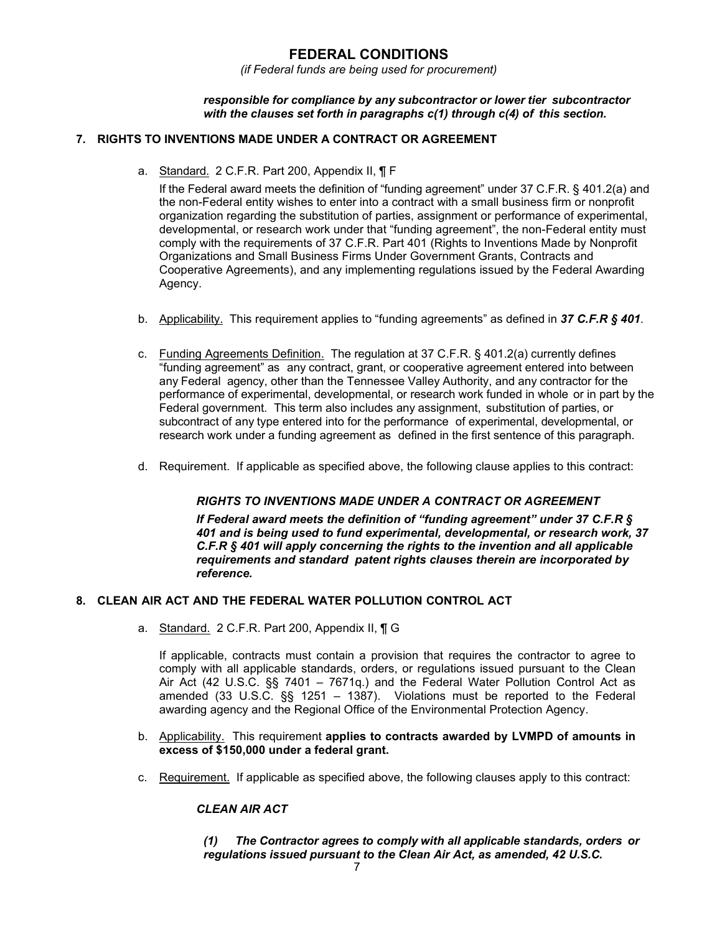*(if Federal funds are being used for procurement)*

### *responsible for compliance by any subcontractor or lower tier subcontractor with the clauses set forth in paragraphs c(1) through c(4) of this section.*

## **7. RIGHTS TO INVENTIONS MADE UNDER A CONTRACT OR AGREEMENT**

a. Standard. 2 C.F.R. Part 200, Appendix II, ¶ F

If the Federal award meets the definition of "funding agreement" under 37 C.F.R. § 401.2(a) and the non-Federal entity wishes to enter into a contract with a small business firm or nonprofit organization regarding the substitution of parties, assignment or performance of experimental, developmental, or research work under that "funding agreement", the non-Federal entity must comply with the requirements of 37 C.F.R. Part 401 (Rights to Inventions Made by Nonprofit Organizations and Small Business Firms Under Government Grants, Contracts and Cooperative Agreements), and any implementing regulations issued by the Federal Awarding Agency.

- b. Applicability. This requirement applies to "funding agreements" as defined in *37 C.F.R § 401*.
- c. Funding Agreements Definition. The regulation at 37 C.F.R. § 401.2(a) currently defines "funding agreement" as any contract, grant, or cooperative agreement entered into between any Federal agency, other than the Tennessee Valley Authority, and any contractor for the performance of experimental, developmental, or research work funded in whole or in part by the Federal government. This term also includes any assignment, substitution of parties, or subcontract of any type entered into for the performance of experimental, developmental, or research work under a funding agreement as defined in the first sentence of this paragraph.
- d. Requirement. If applicable as specified above, the following clause applies to this contract:

## *RIGHTS TO INVENTIONS MADE UNDER A CONTRACT OR AGREEMENT*

*If Federal award meets the definition of "funding agreement" under 37 C.F.R § 401 and is being used to fund experimental, developmental, or research work, 37 C.F.R § 401 will apply concerning the rights to the invention and all applicable requirements and standard patent rights clauses therein are incorporated by reference.*

### **8. CLEAN AIR ACT AND THE FEDERAL WATER POLLUTION CONTROL ACT**

a. Standard. 2 C.F.R. Part 200, Appendix II, ¶ G

If applicable, contracts must contain a provision that requires the contractor to agree to comply with all applicable standards, orders, or regulations issued pursuant to the Clean Air Act (42 U.S.C. §§ 7401 – 7671q.) and the Federal Water Pollution Control Act as amended (33 U.S.C. §§ 1251 – 1387). Violations must be reported to the Federal awarding agency and the Regional Office of the Environmental Protection Agency.

- b. Applicability. This requirement **applies to contracts awarded by LVMPD of amounts in excess of \$150,000 under a federal grant.**
- c. Requirement. If applicable as specified above, the following clauses apply to this contract:

### *CLEAN AIR ACT*

## *(1) The Contractor agrees to comply with all applicable standards, orders or regulations issued pursuant to the Clean Air Act, as amended, 42 U.S.C.*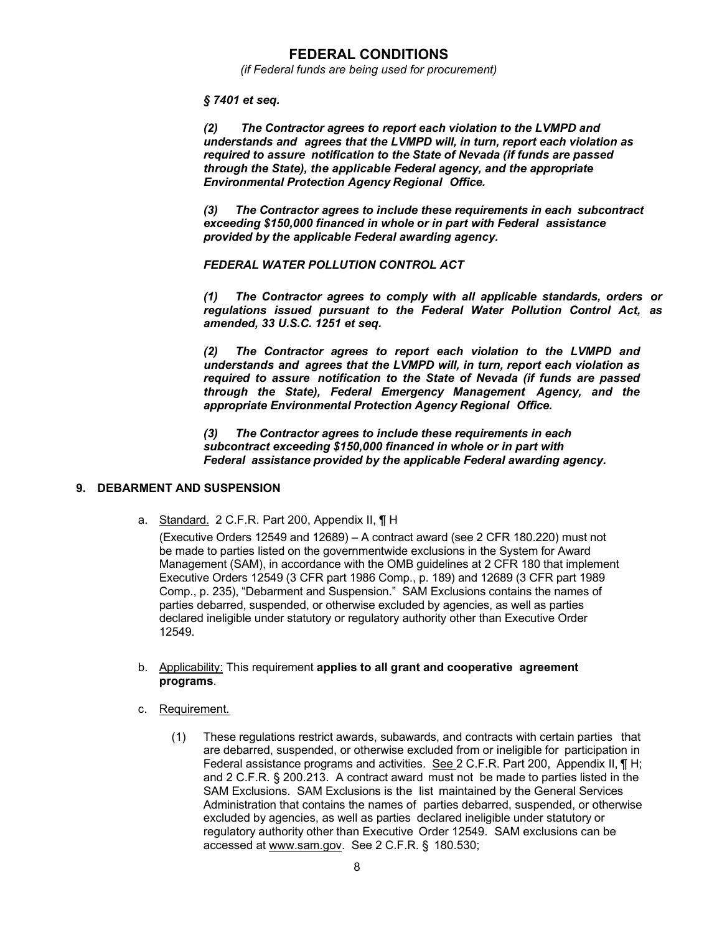*(if Federal funds are being used for procurement)*

*§ 7401 et seq.*

*(2) The Contractor agrees to report each violation to the LVMPD and understands and agrees that the LVMPD will, in turn, report each violation as required to assure notification to the State of Nevada (if funds are passed through the State), the applicable Federal agency, and the appropriate Environmental Protection Agency Regional Office.*

*(3) The Contractor agrees to include these requirements in each subcontract exceeding \$150,000 financed in whole or in part with Federal assistance provided by the applicable Federal awarding agency.*

*FEDERAL WATER POLLUTION CONTROL ACT*

*(1) The Contractor agrees to comply with all applicable standards, orders or regulations issued pursuant to the Federal Water Pollution Control Act, as amended, 33 U.S.C. 1251 et seq.*

*(2) The Contractor agrees to report each violation to the LVMPD and understands and agrees that the LVMPD will, in turn, report each violation as required to assure notification to the State of Nevada (if funds are passed through the State), Federal Emergency Management Agency, and the appropriate Environmental Protection Agency Regional Office.*

*(3) The Contractor agrees to include these requirements in each subcontract exceeding \$150,000 financed in whole or in part with Federal assistance provided by the applicable Federal awarding agency.*

### **9. DEBARMENT AND SUSPENSION**

a. Standard. 2 C.F.R. Part 200, Appendix II, ¶ H

(Executive Orders 12549 and 12689) – A contract award (see 2 CFR 180.220) must not be made to parties listed on the governmentwide exclusions in the System for Award Management (SAM), in accordance with the OMB guidelines at 2 CFR 180 that implement Executive Orders 12549 (3 CFR part 1986 Comp., p. 189) and 12689 (3 CFR part 1989 Comp., p. 235), "Debarment and Suspension." SAM Exclusions contains the names of parties debarred, suspended, or otherwise excluded by agencies, as well as parties declared ineligible under statutory or regulatory authority other than Executive Order 12549.

- b. Applicability: This requirement **applies to all grant and cooperative agreement programs**.
- c. Requirement.
	- (1) These regulations restrict awards, subawards, and contracts with certain parties that are debarred, suspended, or otherwise excluded from or ineligible for participation in Federal assistance programs and activities. See 2 C.F.R. Part 200, Appendix II, ¶ H; and 2 C.F.R. § 200.213. A contract award must not be made to parties listed in the SAM Exclusions. SAM Exclusions is the list maintained by the General Services Administration that contains the names of parties debarred, suspended, or otherwise excluded by agencies, as well as parties declared ineligible under statutory or regulatory authority other than Executive Order 12549. SAM exclusions can be accessed at [www.sam.gov.](http://www.sam.gov/) See 2 C.F.R. § 180.530;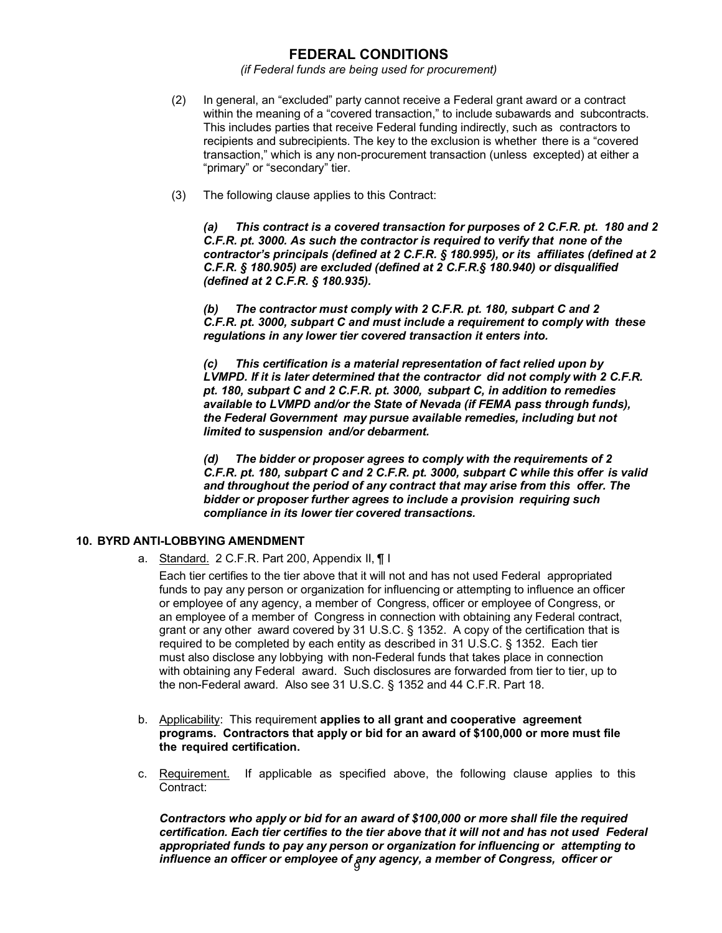*(if Federal funds are being used for procurement)*

- (2) In general, an "excluded" party cannot receive a Federal grant award or a contract within the meaning of a "covered transaction," to include subawards and subcontracts. This includes parties that receive Federal funding indirectly, such as contractors to recipients and subrecipients. The key to the exclusion is whether there is a "covered transaction," which is any non-procurement transaction (unless excepted) at either a "primary" or "secondary" tier.
- (3) The following clause applies to this Contract:

*(a) This contract is a covered transaction for purposes of 2 C.F.R. pt. 180 and 2 C.F.R. pt. 3000. As such the contractor is required to verify that none of the contractor's principals (defined at 2 C.F.R. § 180.995), or its affiliates (defined at 2 C.F.R. § 180.905) are excluded (defined at 2 C.F.R.§ 180.940) or disqualified (defined at 2 C.F.R. § 180.935).*

*(b) The contractor must comply with 2 C.F.R. pt. 180, subpart C and 2 C.F.R. pt. 3000, subpart C and must include a requirement to comply with these regulations in any lower tier covered transaction it enters into.*

*(c) This certification is a material representation of fact relied upon by LVMPD. If it is later determined that the contractor did not comply with 2 C.F.R. pt. 180, subpart C and 2 C.F.R. pt. 3000, subpart C, in addition to remedies available to LVMPD and/or the State of Nevada (if FEMA pass through funds), the Federal Government may pursue available remedies, including but not limited to suspension and/or debarment.*

*(d) The bidder or proposer agrees to comply with the requirements of 2 C.F.R. pt. 180, subpart C and 2 C.F.R. pt. 3000, subpart C while this offer is valid and throughout the period of any contract that may arise from this offer. The bidder or proposer further agrees to include a provision requiring such compliance in its lower tier covered transactions.*

### **10. BYRD ANTI-LOBBYING AMENDMENT**

a. Standard. 2 C.F.R. Part 200, Appendix II, ¶ I

Each tier certifies to the tier above that it will not and has not used Federal appropriated funds to pay any person or organization for influencing or attempting to influence an officer or employee of any agency, a member of Congress, officer or employee of Congress, or an employee of a member of Congress in connection with obtaining any Federal contract, grant or any other award covered by 31 U.S.C. § 1352. A copy of the certification that is required to be completed by each entity as described in 31 U.S.C. § 1352. Each tier must also disclose any lobbying with non-Federal funds that takes place in connection with obtaining any Federal award. Such disclosures are forwarded from tier to tier, up to the non-Federal award. Also see 31 U.S.C. § 1352 and 44 C.F.R. Part 18.

- b. Applicability: This requirement **applies to all grant and cooperative agreement programs. Contractors that apply or bid for an award of \$100,000 or more must file the required certification.**
- c. Requirement. If applicable as specified above, the following clause applies to this Contract:

9 *influence an officer or employee of any agency, a member of Congress, officer orContractors who apply or bid for an award of \$100,000 or more shall file the required certification. Each tier certifies to the tier above that it will not and has not used Federal appropriated funds to pay any person or organization for influencing or attempting to*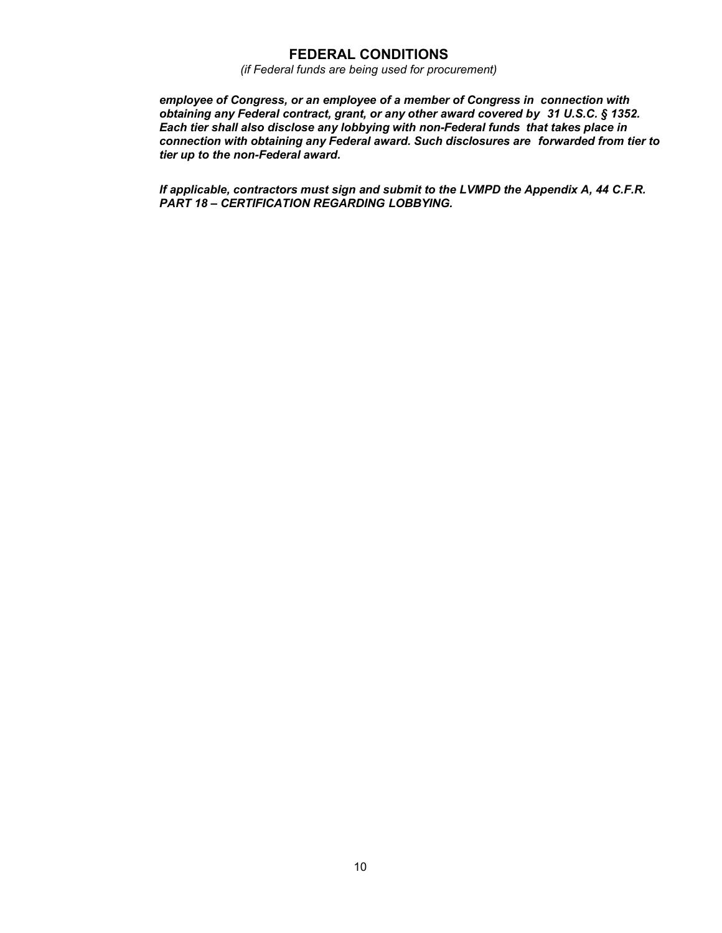*(if Federal funds are being used for procurement)*

*employee of Congress, or an employee of a member of Congress in connection with obtaining any Federal contract, grant, or any other award covered by 31 U.S.C. § 1352. Each tier shall also disclose any lobbying with non-Federal funds that takes place in connection with obtaining any Federal award. Such disclosures are forwarded from tier to tier up to the non-Federal award.*

*If applicable, contractors must sign and submit to the LVMPD the Appendix A, 44 C.F.R. PART 18 – CERTIFICATION REGARDING LOBBYING.*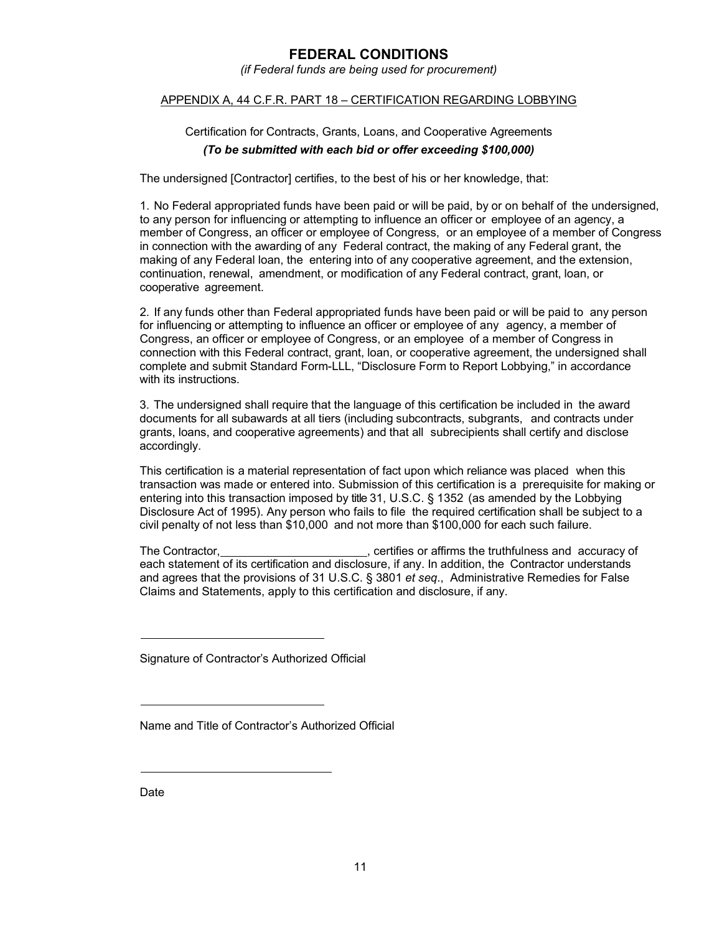*(if Federal funds are being used for procurement)*

### APPENDIX A, 44 C.F.R. PART 18 – CERTIFICATION REGARDING LOBBYING

## Certification for Contracts, Grants, Loans, and Cooperative Agreements *(To be submitted with each bid or offer exceeding \$100,000)*

The undersigned [Contractor] certifies, to the best of his or her knowledge, that:

1. No Federal appropriated funds have been paid or will be paid, by or on behalf of the undersigned, to any person for influencing or attempting to influence an officer or employee of an agency, a member of Congress, an officer or employee of Congress, or an employee of a member of Congress in connection with the awarding of any Federal contract, the making of any Federal grant, the making of any Federal loan, the entering into of any cooperative agreement, and the extension, continuation, renewal, amendment, or modification of any Federal contract, grant, loan, or cooperative agreement.

2. If any funds other than Federal appropriated funds have been paid or will be paid to any person for influencing or attempting to influence an officer or employee of any agency, a member of Congress, an officer or employee of Congress, or an employee of a member of Congress in connection with this Federal contract, grant, loan, or cooperative agreement, the undersigned shall complete and submit Standard Form-LLL, "Disclosure Form to Report Lobbying," in accordance with its instructions.

3. The undersigned shall require that the language of this certification be included in the award documents for all subawards at all tiers (including subcontracts, subgrants, and contracts under grants, loans, and cooperative agreements) and that all subrecipients shall certify and disclose accordingly.

This certification is a material representation of fact upon which reliance was placed when this transaction was made or entered into. Submission of this certification is a prerequisite for making or entering into this transaction imposed by title 31, U.S.C. § 1352 (as amended by the Lobbying Disclosure Act of 1995). Any person who fails to file the required certification shall be subject to a civil penalty of not less than \$10,000 and not more than \$100,000 for each such failure.

The Contractor, <u>contractor</u> (2002), certifies or affirms the truthfulness and accuracy of each statement of its certification and disclosure, if any. In addition, the Contractor understands and agrees that the provisions of 31 U.S.C. § 3801 *et seq*., Administrative Remedies for False Claims and Statements, apply to this certification and disclosure, if any.

Signature of Contractor's Authorized Official

Name and Title of Contractor's Authorized Official

Date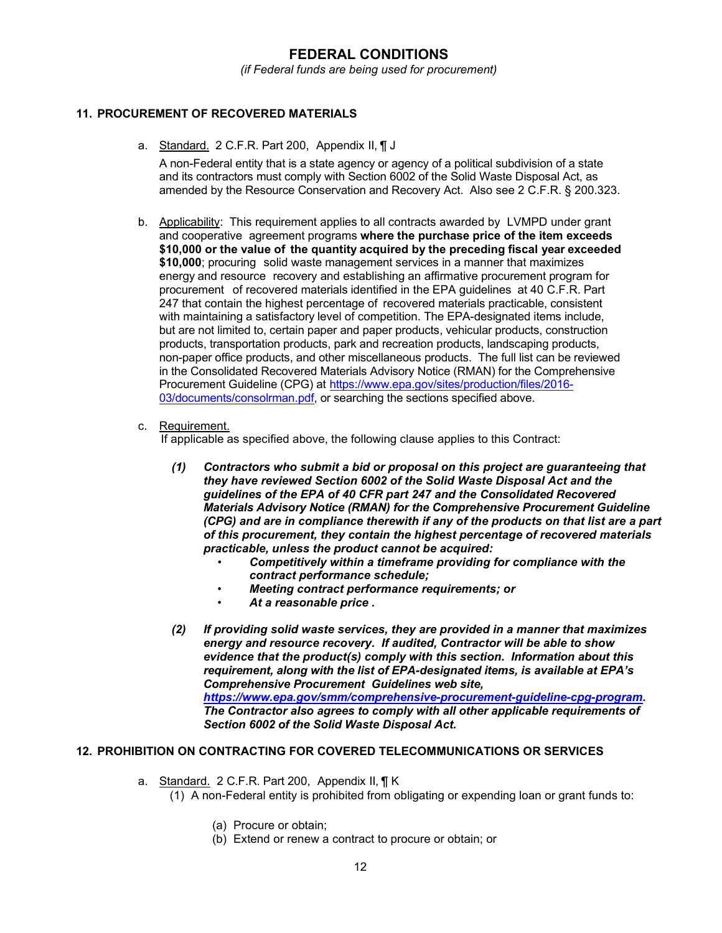*(if Federal funds are being used for procurement)*

## **11. PROCUREMENT OF RECOVERED MATERIALS**

a. Standard. 2 C.F.R. Part 200, Appendix II, ¶ J

A non-Federal entity that is a state agency or agency of a political subdivision of a state and its contractors must comply with Section 6002 of the Solid Waste Disposal Act, as amended by the Resource Conservation and Recovery Act. Also see 2 C.F.R. § 200.323.

- b. Applicability: This requirement applies to all contracts awarded by LVMPD under grant and cooperative agreement programs **where the purchase price of the item exceeds \$10,000 or the value of the quantity acquired by the preceding fiscal year exceeded \$10,000**; procuring solid waste management services in a manner that maximizes energy and resource recovery and establishing an affirmative procurement program for procurement of recovered materials identified in the EPA guidelines at 40 C.F.R. Part 247 that contain the highest percentage of recovered materials practicable, consistent with maintaining a satisfactory level of competition. The EPA-designated items include, but are not limited to, certain paper and paper products, vehicular products, construction products, transportation products, park and recreation products, landscaping products, non-paper office products, and other miscellaneous products. The full list can be reviewed in the Consolidated Recovered Materials Advisory Notice (RMAN) for the Comprehensive Procurement Guideline (CPG) at [https://www.epa.gov/sites/production/files/2016-](https://www.epa.gov/sites/production/files/2016-03/documents/consolrman.pdf) [03/documents/consolrman.pdf,](https://www.epa.gov/sites/production/files/2016-03/documents/consolrman.pdf) or searching the sections specified above.
- c. Requirement.

If applicable as specified above, the following clause applies to this Contract:

- *(1) Contractors who submit a bid or proposal on this project are guaranteeing that they have reviewed Section 6002 of the Solid Waste Disposal Act and the guidelines of the EPA of 40 CFR part 247 and the Consolidated Recovered Materials Advisory Notice (RMAN) for the Comprehensive Procurement Guideline (CPG) and are in compliance therewith if any of the products on that list are a part of this procurement, they contain the highest percentage of recovered materials practicable, unless the product cannot be acquired:*
	- *Competitively within a timeframe providing for compliance with the contract performance schedule;*
	- *Meeting contract performance requirements; or*
	- *At a reasonable price .*
- *(2) If providing solid waste services, they are provided in a manner that maximizes energy and resource recovery. If audited, Contractor will be able to show evidence that the product(s) comply with this section. Information about this requirement, along with the list of EPA-designated items, is available at EPA's Comprehensive Procurement Guidelines web site, [https://www.epa.gov/smm/comprehensive-procurement-guideline-cpg-program.](https://www.epa.gov/smm/comprehensive-procurement-guideline-cpg-program) The Contractor also agrees to comply with all other applicable requirements of Section 6002 of the Solid Waste Disposal Act.*

### **12. PROHIBITION ON CONTRACTING FOR COVERED TELECOMMUNICATIONS OR SERVICES**

- a. Standard. 2 C.F.R. Part 200, Appendix II, ¶ K
	- (1) A non-Federal entity is prohibited from obligating or expending loan or grant funds to:
		- (a) Procure or obtain;
		- (b) Extend or renew a contract to procure or obtain; or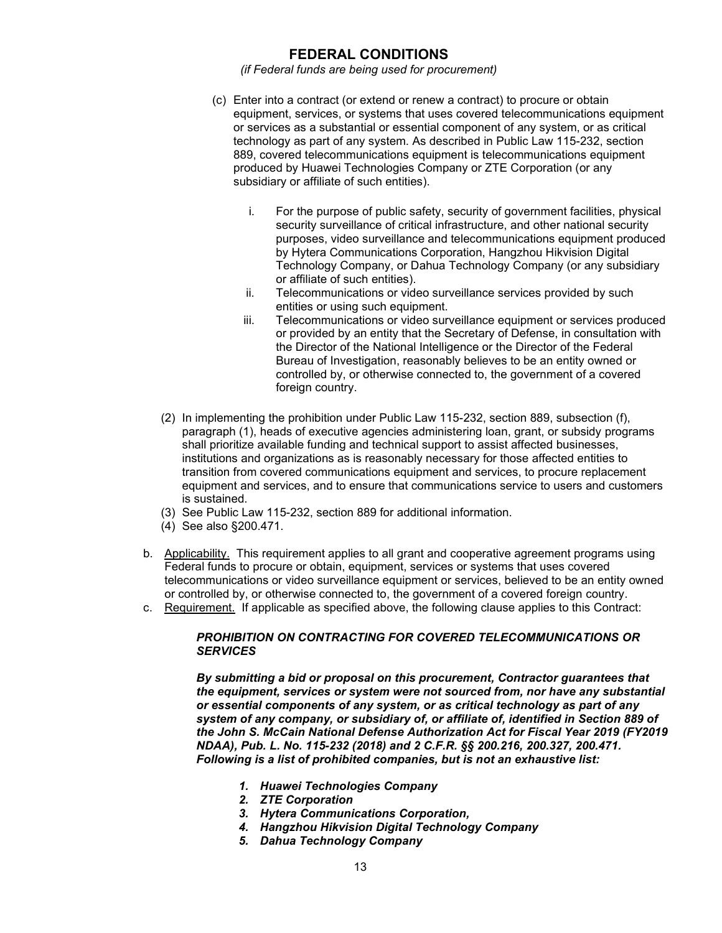*(if Federal funds are being used for procurement)*

- (c) Enter into a contract (or extend or renew a contract) to procure or obtain equipment, services, or systems that uses covered telecommunications equipment or services as a substantial or essential component of any system, or as critical technology as part of any system. As described in Public Law 115-232, section 889, covered telecommunications equipment is telecommunications equipment produced by Huawei Technologies Company or ZTE Corporation (or any subsidiary or affiliate of such entities).
	- i. For the purpose of public safety, security of government facilities, physical security surveillance of critical infrastructure, and other national security purposes, video surveillance and telecommunications equipment produced by Hytera Communications Corporation, Hangzhou Hikvision Digital Technology Company, or Dahua Technology Company (or any subsidiary or affiliate of such entities).
	- ii. Telecommunications or video surveillance services provided by such entities or using such equipment.
	- iii. Telecommunications or video surveillance equipment or services produced or provided by an entity that the Secretary of Defense, in consultation with the Director of the National Intelligence or the Director of the Federal Bureau of Investigation, reasonably believes to be an entity owned or controlled by, or otherwise connected to, the government of a covered foreign country.
- (2) In implementing the prohibition under Public Law 115-232, section 889, subsection (f), paragraph (1), heads of executive agencies administering loan, grant, or subsidy programs shall prioritize available funding and technical support to assist affected businesses, institutions and organizations as is reasonably necessary for those affected entities to transition from covered communications equipment and services, to procure replacement equipment and services, and to ensure that communications service to users and customers is sustained.
- (3) See Public Law 115-232, section 889 for additional information.
- (4) See also §200.471.
- b. Applicability. This requirement applies to all grant and cooperative agreement programs using Federal funds to procure or obtain, equipment, services or systems that uses covered telecommunications or video surveillance equipment or services, believed to be an entity owned or controlled by, or otherwise connected to, the government of a covered foreign country.
- c. Requirement. If applicable as specified above, the following clause applies to this Contract:

#### *PROHIBITION ON CONTRACTING FOR COVERED TELECOMMUNICATIONS OR SERVICES*

*By submitting a bid or proposal on this procurement, Contractor guarantees that the equipment, services or system were not sourced from, nor have any substantial or essential components of any system, or as critical technology as part of any system of any company, or subsidiary of, or affiliate of, identified in Section 889 of the John S. McCain National Defense Authorization Act for Fiscal Year 2019 (FY2019 NDAA), Pub. L. No. 115-232 (2018) and 2 C.F.R. §§ 200.216, 200.327, 200.471. Following is a list of prohibited companies, but is not an exhaustive list:*

- *1. Huawei Technologies Company*
- *2. ZTE Corporation*
- *3. Hytera Communications Corporation,*
- *4. Hangzhou Hikvision Digital Technology Company*
- *5. Dahua Technology Company*